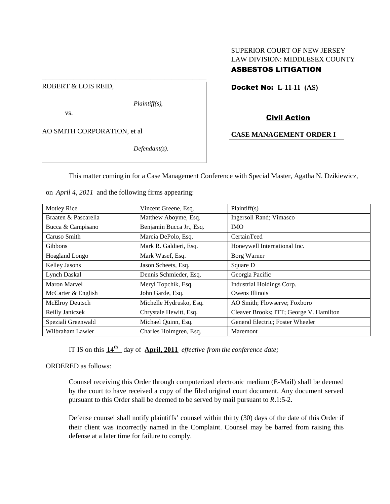# SUPERIOR COURT OF NEW JERSEY LAW DIVISION: MIDDLESEX COUNTY

## ASBESTOS LITIGATION

Docket No: **L-11-11 (AS)**

*Plaintiff(s),*

\_\_\_\_\_\_\_\_\_\_\_\_\_\_\_\_\_\_\_\_\_\_\_\_\_\_\_\_\_\_\_\_\_\_\_\_\_\_\_\_\_\_\_\_\_\_\_

vs.

AO SMITH CORPORATION, et al

*Defendant(s).*

Civil Action

## **CASE MANAGEMENT ORDER I**

This matter coming in for a Case Management Conference with Special Master, Agatha N. Dzikiewicz,

on *April 4, 2011* and the following firms appearing:

| Motley Rice           | Vincent Greene, Esq.     | Plaintiff(s)                            |
|-----------------------|--------------------------|-----------------------------------------|
| Braaten & Pascarella  | Matthew Aboyme, Esq.     | <b>Ingersoll Rand</b> ; Vimasco         |
| Bucca & Campisano     | Benjamin Bucca Jr., Esq. | <b>IMO</b>                              |
| Caruso Smith          | Marcia DePolo, Esq.      | CertainTeed                             |
| Gibbons               | Mark R. Galdieri, Esq.   | Honeywell International Inc.            |
| <b>Hoagland Longo</b> | Mark Wasef, Esq.         | Borg Warner                             |
| <b>Kelley Jasons</b>  | Jason Scheets, Esq.      | Square D                                |
| Lynch Daskal          | Dennis Schmieder, Esq.   | Georgia Pacific                         |
| Maron Marvel          | Meryl Topchik, Esq.      | Industrial Holdings Corp.               |
| McCarter & English    | John Garde, Esq.         | Owens Illinois                          |
| McElroy Deutsch       | Michelle Hydrusko, Esq.  | AO Smith; Flowserve; Foxboro            |
| Reilly Janiczek       | Chrystale Hewitt, Esq.   | Cleaver Brooks; ITT; George V. Hamilton |
| Speziali Greenwald    | Michael Quinn, Esq.      | General Electric; Foster Wheeler        |
| Wilbraham Lawler      | Charles Holmgren, Esq.   | Maremont                                |

IT IS on this **14th** day of **April, 2011** *effective from the conference date;*

ORDERED as follows:

Counsel receiving this Order through computerized electronic medium (E-Mail) shall be deemed by the court to have received a copy of the filed original court document. Any document served pursuant to this Order shall be deemed to be served by mail pursuant to *R*.1:5-2.

Defense counsel shall notify plaintiffs' counsel within thirty (30) days of the date of this Order if their client was incorrectly named in the Complaint. Counsel may be barred from raising this defense at a later time for failure to comply.

ROBERT & LOIS REID,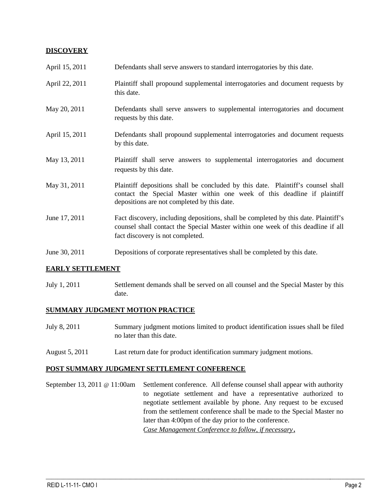## **DISCOVERY**

| April 15, 2011 | Defendants shall serve answers to standard interrogatories by this date.                                                                                                                                    |
|----------------|-------------------------------------------------------------------------------------------------------------------------------------------------------------------------------------------------------------|
| April 22, 2011 | Plaintiff shall propound supplemental interrogatories and document requests by<br>this date.                                                                                                                |
| May 20, 2011   | Defendants shall serve answers to supplemental interrogatories and document<br>requests by this date.                                                                                                       |
| April 15, 2011 | Defendants shall propound supplemental interrogatories and document requests<br>by this date.                                                                                                               |
| May 13, 2011   | Plaintiff shall serve answers to supplemental interrogatories and document<br>requests by this date.                                                                                                        |
| May 31, 2011   | Plaintiff depositions shall be concluded by this date. Plaintiff's counsel shall<br>contact the Special Master within one week of this deadline if plaintiff<br>depositions are not completed by this date. |
| June 17, 2011  | Fact discovery, including depositions, shall be completed by this date. Plaintiff's<br>counsel shall contact the Special Master within one week of this deadline if all<br>fact discovery is not completed. |
| June 30, 2011  | Depositions of corporate representatives shall be completed by this date.                                                                                                                                   |

#### **EARLY SETTLEMENT**

July 1, 2011 Settlement demands shall be served on all counsel and the Special Master by this date.

#### **SUMMARY JUDGMENT MOTION PRACTICE**

- July 8, 2011 Summary judgment motions limited to product identification issues shall be filed no later than this date.
- August 5, 2011 Last return date for product identification summary judgment motions.

#### **POST SUMMARY JUDGMENT SETTLEMENT CONFERENCE**

September 13, 2011 @ 11:00am Settlement conference. All defense counsel shall appear with authority to negotiate settlement and have a representative authorized to negotiate settlement available by phone. Any request to be excused from the settlement conference shall be made to the Special Master no later than 4:00pm of the day prior to the conference. *Case Management Conference to follow, if necessary***.**

 $\_$  ,  $\_$  ,  $\_$  ,  $\_$  ,  $\_$  ,  $\_$  ,  $\_$  ,  $\_$  ,  $\_$  ,  $\_$  ,  $\_$  ,  $\_$  ,  $\_$  ,  $\_$  ,  $\_$  ,  $\_$  ,  $\_$  ,  $\_$  ,  $\_$  ,  $\_$  ,  $\_$  ,  $\_$  ,  $\_$  ,  $\_$  ,  $\_$  ,  $\_$  ,  $\_$  ,  $\_$  ,  $\_$  ,  $\_$  ,  $\_$  ,  $\_$  ,  $\_$  ,  $\_$  ,  $\_$  ,  $\_$  ,  $\_$  ,